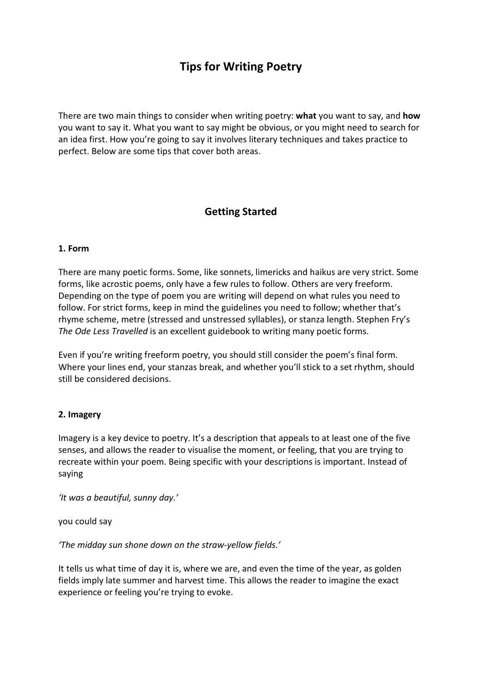# **Tips for Writing Poetry**

There are two main things to consider when writing poetry: **what** you want to say, and **how**  you want to say it. What you want to say might be obvious, or you might need to search for an idea first. How you're going to say it involves literary techniques and takes practice to perfect. Below are some tips that cover both areas.

# **Getting Started**

#### **1. Form**

There are many poetic forms. Some, like sonnets, limericks and haikus are very strict. Some forms, like acrostic poems, only have a few rules to follow. Others are very freeform. Depending on the type of poem you are writing will depend on what rules you need to follow. For strict forms, keep in mind the guidelines you need to follow; whether that's rhyme scheme, metre (stressed and unstressed syllables), or stanza length. Stephen Fry's *The Ode Less Travelled* is an excellent guidebook to writing many poetic forms.

Even if you're writing freeform poetry, you should still consider the poem's final form. Where your lines end, your stanzas break, and whether you'll stick to a set rhythm, should still be considered decisions.

#### **2. Imagery**

Imagery is a key device to poetry. It's a description that appeals to at least one of the five senses, and allows the reader to visualise the moment, or feeling, that you are trying to recreate within your poem. Being specific with your descriptions is important. Instead of saying

*'It was a beautiful, sunny day.'*

you could say

*'The midday sun shone down on the straw-yellow fields.'*

It tells us what time of day it is, where we are, and even the time of the year, as golden fields imply late summer and harvest time. This allows the reader to imagine the exact experience or feeling you're trying to evoke.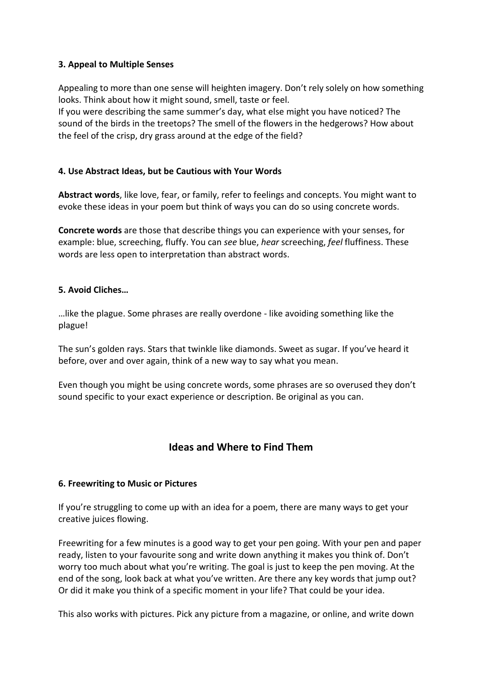### **3. Appeal to Multiple Senses**

Appealing to more than one sense will heighten imagery. Don't rely solely on how something looks. Think about how it might sound, smell, taste or feel.

If you were describing the same summer's day, what else might you have noticed? The sound of the birds in the treetops? The smell of the flowers in the hedgerows? How about the feel of the crisp, dry grass around at the edge of the field?

#### **4. Use Abstract Ideas, but be Cautious with Your Words**

**Abstract words**, like love, fear, or family, refer to feelings and concepts. You might want to evoke these ideas in your poem but think of ways you can do so using concrete words.

**Concrete words** are those that describe things you can experience with your senses, for example: blue, screeching, fluffy. You can *see* blue, *hear* screeching, *feel* fluffiness. These words are less open to interpretation than abstract words.

#### **5. Avoid Cliches…**

…like the plague. Some phrases are really overdone - like avoiding something like the plague!

The sun's golden rays. Stars that twinkle like diamonds. Sweet as sugar. If you've heard it before, over and over again, think of a new way to say what you mean.

Even though you might be using concrete words, some phrases are so overused they don't sound specific to your exact experience or description. Be original as you can.

## **Ideas and Where to Find Them**

### **6. Freewriting to Music or Pictures**

If you're struggling to come up with an idea for a poem, there are many ways to get your creative juices flowing.

Freewriting for a few minutes is a good way to get your pen going. With your pen and paper ready, listen to your favourite song and write down anything it makes you think of. Don't worry too much about what you're writing. The goal is just to keep the pen moving. At the end of the song, look back at what you've written. Are there any key words that jump out? Or did it make you think of a specific moment in your life? That could be your idea.

This also works with pictures. Pick any picture from a magazine, or online, and write down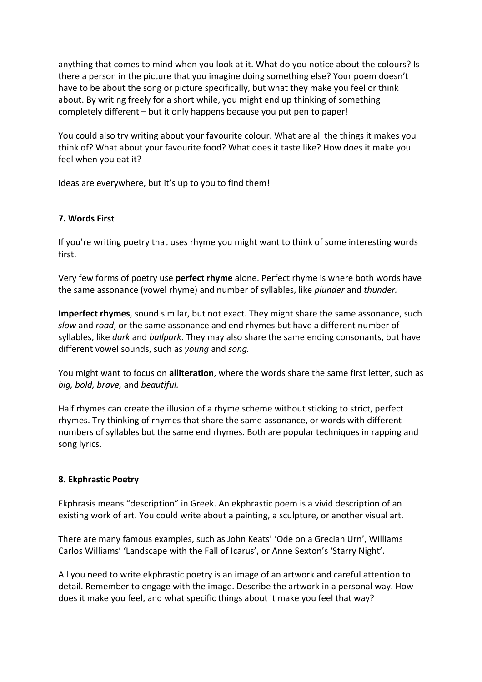anything that comes to mind when you look at it. What do you notice about the colours? Is there a person in the picture that you imagine doing something else? Your poem doesn't have to be about the song or picture specifically, but what they make you feel or think about. By writing freely for a short while, you might end up thinking of something completely different – but it only happens because you put pen to paper!

You could also try writing about your favourite colour. What are all the things it makes you think of? What about your favourite food? What does it taste like? How does it make you feel when you eat it?

Ideas are everywhere, but it's up to you to find them!

#### **7. Words First**

If you're writing poetry that uses rhyme you might want to think of some interesting words first.

Very few forms of poetry use **perfect rhyme** alone. Perfect rhyme is where both words have the same assonance (vowel rhyme) and number of syllables, like *plunder* and *thunder.* 

**Imperfect rhymes**, sound similar, but not exact. They might share the same assonance, such *slow* and *road*, or the same assonance and end rhymes but have a different number of syllables, like *dark* and *ballpark*. They may also share the same ending consonants, but have different vowel sounds, such as *young* and *song.* 

You might want to focus on **alliteration**, where the words share the same first letter, such as *big, bold, brave,* and *beautiful.* 

Half rhymes can create the illusion of a rhyme scheme without sticking to strict, perfect rhymes. Try thinking of rhymes that share the same assonance, or words with different numbers of syllables but the same end rhymes. Both are popular techniques in rapping and song lyrics.

### **8. Ekphrastic Poetry**

Ekphrasis means "description" in Greek. An ekphrastic poem is a vivid description of an existing work of art. You could write about a painting, a sculpture, or another visual art.

There are many famous examples, such as John Keats' 'Ode on a Grecian Urn', Williams Carlos Williams' 'Landscape with the Fall of Icarus', or Anne Sexton's 'Starry Night'.

All you need to write ekphrastic poetry is an image of an artwork and careful attention to detail. Remember to engage with the image. Describe the artwork in a personal way. How does it make you feel, and what specific things about it make you feel that way?